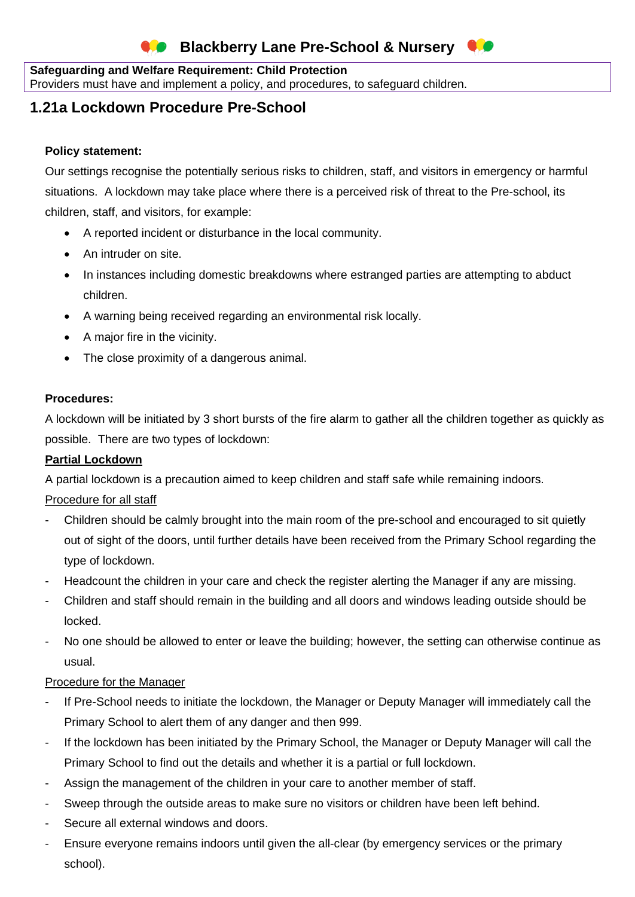#### **Safeguarding and Welfare Requirement: Child Protection**

Providers must have and implement a policy, and procedures, to safeguard children.

# **1.21a Lockdown Procedure Pre-School**

#### **Policy statement:**

Our settings recognise the potentially serious risks to children, staff, and visitors in emergency or harmful situations. A lockdown may take place where there is a perceived risk of threat to the Pre-school, its children, staff, and visitors, for example:

- A reported incident or disturbance in the local community.
- An intruder on site.
- In instances including domestic breakdowns where estranged parties are attempting to abduct children.
- A warning being received regarding an environmental risk locally.
- A major fire in the vicinity.
- The close proximity of a dangerous animal.

#### **Procedures:**

A lockdown will be initiated by 3 short bursts of the fire alarm to gather all the children together as quickly as possible. There are two types of lockdown:

#### **Partial Lockdown**

A partial lockdown is a precaution aimed to keep children and staff safe while remaining indoors.

#### Procedure for all staff

- Children should be calmly brought into the main room of the pre-school and encouraged to sit quietly out of sight of the doors, until further details have been received from the Primary School regarding the type of lockdown.
- Headcount the children in your care and check the register alerting the Manager if any are missing.
- Children and staff should remain in the building and all doors and windows leading outside should be locked.
- No one should be allowed to enter or leave the building; however, the setting can otherwise continue as usual.

#### Procedure for the Manager

- If Pre-School needs to initiate the lockdown, the Manager or Deputy Manager will immediately call the Primary School to alert them of any danger and then 999.
- If the lockdown has been initiated by the Primary School, the Manager or Deputy Manager will call the Primary School to find out the details and whether it is a partial or full lockdown.
- Assign the management of the children in your care to another member of staff.
- Sweep through the outside areas to make sure no visitors or children have been left behind.
- Secure all external windows and doors.
- Ensure everyone remains indoors until given the all-clear (by emergency services or the primary school).